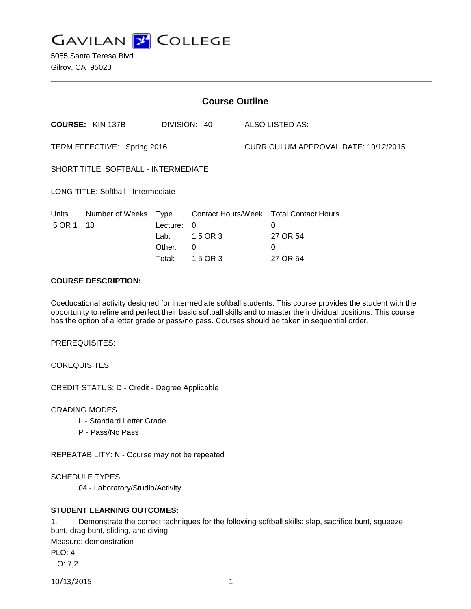

5055 Santa Teresa Blvd Gilroy, CA 95023

| <b>Course Outline</b>                |                            |                                      |                                       |                                      |                                                                                 |  |
|--------------------------------------|----------------------------|--------------------------------------|---------------------------------------|--------------------------------------|---------------------------------------------------------------------------------|--|
|                                      | <b>COURSE: KIN 137B</b>    |                                      | DIVISION: 40                          |                                      | ALSO LISTED AS:                                                                 |  |
| TERM EFFECTIVE: Spring 2016          |                            |                                      |                                       | CURRICULUM APPROVAL DATE: 10/12/2015 |                                                                                 |  |
| SHORT TITLE: SOFTBALL - INTERMEDIATE |                            |                                      |                                       |                                      |                                                                                 |  |
| LONG TITLE: Softball - Intermediate  |                            |                                      |                                       |                                      |                                                                                 |  |
| Units<br>.5 OR 1                     | Number of Weeks Type<br>18 | Lecture:<br>Lab:<br>Other:<br>Total: | $\Omega$<br>1.5 OR 3<br>0<br>1.5 OR 3 |                                      | Contact Hours/Week Total Contact Hours<br>$\Omega$<br>27 OR 54<br>0<br>27 OR 54 |  |

# **COURSE DESCRIPTION:**

Coeducational activity designed for intermediate softball students. This course provides the student with the opportunity to refine and perfect their basic softball skills and to master the individual positions. This course has the option of a letter grade or pass/no pass. Courses should be taken in sequential order.

PREREQUISITES:

COREQUISITES:

CREDIT STATUS: D - Credit - Degree Applicable

GRADING MODES

- L Standard Letter Grade
- P Pass/No Pass

REPEATABILITY: N - Course may not be repeated

SCHEDULE TYPES:

04 - Laboratory/Studio/Activity

## **STUDENT LEARNING OUTCOMES:**

1. Demonstrate the correct techniques for the following softball skills: slap, sacrifice bunt, squeeze bunt, drag bunt, sliding, and diving.

Measure: demonstration

PLO: 4

ILO: 7,2

10/13/2015 1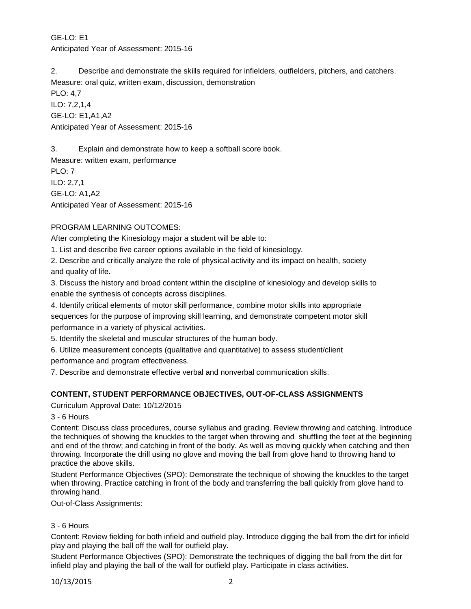GE-LO: E1 Anticipated Year of Assessment: 2015-16

2. Describe and demonstrate the skills required for infielders, outfielders, pitchers, and catchers. Measure: oral quiz, written exam, discussion, demonstration

PLO: 4,7 ILO: 7,2,1,4 GE-LO: E1,A1,A2 Anticipated Year of Assessment: 2015-16

3. Explain and demonstrate how to keep a softball score book.

Measure: written exam, performance PLO: 7 ILO: 2,7,1 GE-LO: A1,A2 Anticipated Year of Assessment: 2015-16

# PROGRAM LEARNING OUTCOMES:

After completing the Kinesiology major a student will be able to:

1. List and describe five career options available in the field of kinesiology.

2. Describe and critically analyze the role of physical activity and its impact on health, society and quality of life.

3. Discuss the history and broad content within the discipline of kinesiology and develop skills to enable the synthesis of concepts across disciplines.

4. Identify critical elements of motor skill performance, combine motor skills into appropriate sequences for the purpose of improving skill learning, and demonstrate competent motor skill performance in a variety of physical activities.

5. Identify the skeletal and muscular structures of the human body.

6. Utilize measurement concepts (qualitative and quantitative) to assess student/client

performance and program effectiveness.

7. Describe and demonstrate effective verbal and nonverbal communication skills.

# **CONTENT, STUDENT PERFORMANCE OBJECTIVES, OUT-OF-CLASS ASSIGNMENTS**

Curriculum Approval Date: 10/12/2015

# 3 - 6 Hours

Content: Discuss class procedures, course syllabus and grading. Review throwing and catching. Introduce the techniques of showing the knuckles to the target when throwing and shuffling the feet at the beginning and end of the throw; and catching in front of the body. As well as moving quickly when catching and then throwing. Incorporate the drill using no glove and moving the ball from glove hand to throwing hand to practice the above skills.

Student Performance Objectives (SPO): Demonstrate the technique of showing the knuckles to the target when throwing. Practice catching in front of the body and transferring the ball quickly from glove hand to throwing hand.

Out-of-Class Assignments:

## 3 - 6 Hours

Content: Review fielding for both infield and outfield play. Introduce digging the ball from the dirt for infield play and playing the ball off the wall for outfield play.

Student Performance Objectives (SPO): Demonstrate the techniques of digging the ball from the dirt for infield play and playing the ball of the wall for outfield play. Participate in class activities.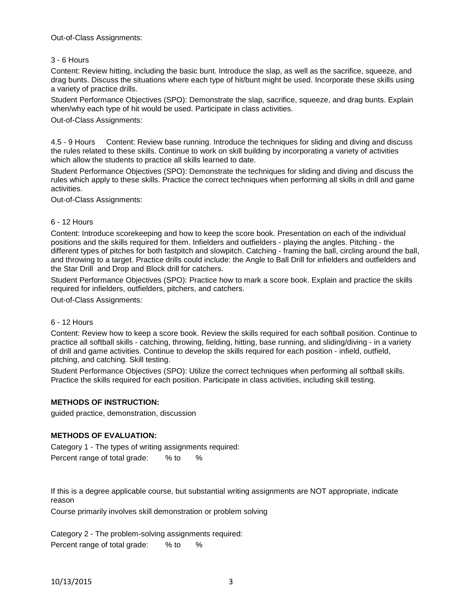### Out-of-Class Assignments:

## 3 - 6 Hours

Content: Review hitting, including the basic bunt. Introduce the slap, as well as the sacrifice, squeeze, and drag bunts. Discuss the situations where each type of hit/bunt might be used. Incorporate these skills using a variety of practice drills.

Student Performance Objectives (SPO): Demonstrate the slap, sacrifice, squeeze, and drag bunts. Explain when/why each type of hit would be used. Participate in class activities.

Out-of-Class Assignments:

4.5 - 9 Hours Content: Review base running. Introduce the techniques for sliding and diving and discuss the rules related to these skills. Continue to work on skill building by incorporating a variety of activities which allow the students to practice all skills learned to date.

Student Performance Objectives (SPO): Demonstrate the techniques for sliding and diving and discuss the rules which apply to these skills. Practice the correct techniques when performing all skills in drill and game activities.

Out-of-Class Assignments:

### 6 - 12 Hours

Content: Introduce scorekeeping and how to keep the score book. Presentation on each of the individual positions and the skills required for them. Infielders and outfielders - playing the angles. Pitching - the different types of pitches for both fastpitch and slowpitch. Catching - framing the ball, circling around the ball, and throwing to a target. Practice drills could include: the Angle to Ball Drill for infielders and outfielders and the Star Drill and Drop and Block drill for catchers.

Student Performance Objectives (SPO): Practice how to mark a score book. Explain and practice the skills required for infielders, outfielders, pitchers, and catchers.

Out-of-Class Assignments:

### 6 - 12 Hours

Content: Review how to keep a score book. Review the skills required for each softball position. Continue to practice all softball skills - catching, throwing, fielding, hitting, base running, and sliding/diving - in a variety of drill and game activities. Continue to develop the skills required for each position - infield, outfield, pitching, and catching. Skill testing.

Student Performance Objectives (SPO): Utilize the correct techniques when performing all softball skills. Practice the skills required for each position. Participate in class activities, including skill testing.

### **METHODS OF INSTRUCTION:**

guided practice, demonstration, discussion

## **METHODS OF EVALUATION:**

Category 1 - The types of writing assignments required:

Percent range of total grade: % to %

If this is a degree applicable course, but substantial writing assignments are NOT appropriate, indicate reason

Course primarily involves skill demonstration or problem solving

Category 2 - The problem-solving assignments required: Percent range of total grade: % to %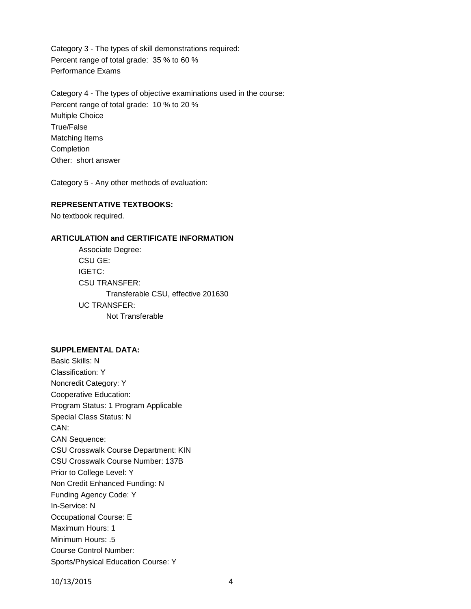Category 3 - The types of skill demonstrations required: Percent range of total grade: 35 % to 60 % Performance Exams

Category 4 - The types of objective examinations used in the course: Percent range of total grade: 10 % to 20 % Multiple Choice True/False Matching Items Completion Other: short answer

Category 5 - Any other methods of evaluation:

#### **REPRESENTATIVE TEXTBOOKS:**

No textbook required.

### **ARTICULATION and CERTIFICATE INFORMATION**

Associate Degree: CSU GE: IGETC: CSU TRANSFER: Transferable CSU, effective 201630 UC TRANSFER: Not Transferable

#### **SUPPLEMENTAL DATA:**

Basic Skills: N Classification: Y Noncredit Category: Y Cooperative Education: Program Status: 1 Program Applicable Special Class Status: N CAN: CAN Sequence: CSU Crosswalk Course Department: KIN CSU Crosswalk Course Number: 137B Prior to College Level: Y Non Credit Enhanced Funding: N Funding Agency Code: Y In-Service: N Occupational Course: E Maximum Hours: 1 Minimum Hours: .5 Course Control Number: Sports/Physical Education Course: Y

10/13/2015 4